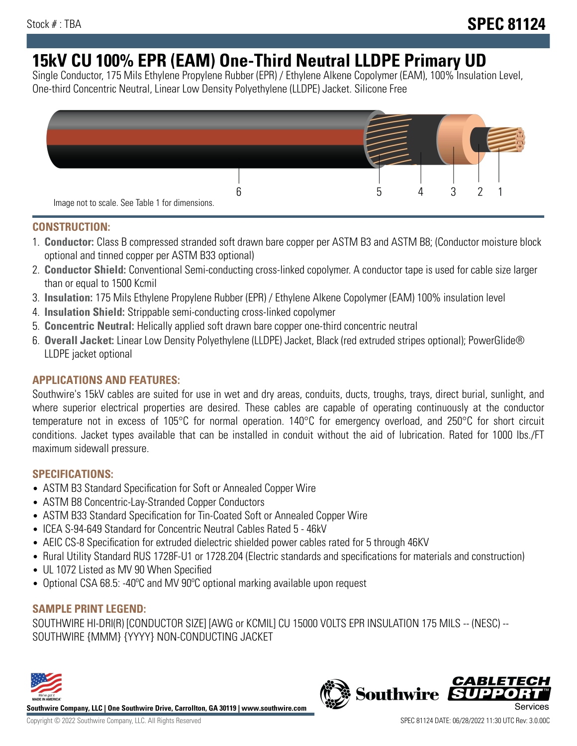# **15kV CU 100% EPR (EAM) One-Third Neutral LLDPE Primary UD**

Single Conductor, 175 Mils Ethylene Propylene Rubber (EPR) / Ethylene Alkene Copolymer (EAM), 100% Insulation Level, One-third Concentric Neutral, Linear Low Density Polyethylene (LLDPE) Jacket. Silicone Free



#### **CONSTRUCTION:**

- 1. **Conductor:** Class B compressed stranded soft drawn bare copper per ASTM B3 and ASTM B8; (Conductor moisture block optional and tinned copper per ASTM B33 optional)
- 2. **Conductor Shield:** Conventional Semi-conducting cross-linked copolymer. A conductor tape is used for cable size larger than or equal to 1500 Kcmil
- 3. **Insulation:** 175 Mils Ethylene Propylene Rubber (EPR) / Ethylene Alkene Copolymer (EAM) 100% insulation level
- 4. **Insulation Shield:** Strippable semi-conducting cross-linked copolymer
- 5. **Concentric Neutral:** Helically applied soft drawn bare copper one-third concentric neutral
- 6. **Overall Jacket:** Linear Low Density Polyethylene (LLDPE) Jacket, Black (red extruded stripes optional); PowerGlide® LLDPE jacket optional

### **APPLICATIONS AND FEATURES:**

Southwire's 15kV cables are suited for use in wet and dry areas, conduits, ducts, troughs, trays, direct burial, sunlight, and where superior electrical properties are desired. These cables are capable of operating continuously at the conductor temperature not in excess of 105°C for normal operation. 140°C for emergency overload, and 250°C for short circuit conditions. Jacket types available that can be installed in conduit without the aid of lubrication. Rated for 1000 lbs./FT maximum sidewall pressure.

#### **SPECIFICATIONS:**

- ASTM B3 Standard Specification for Soft or Annealed Copper Wire
- ASTM B8 Concentric-Lay-Stranded Copper Conductors
- ASTM B33 Standard Specification for Tin-Coated Soft or Annealed Copper Wire
- ICEA S-94-649 Standard for Concentric Neutral Cables Rated 5 46kV
- AEIC CS-8 Specification for extruded dielectric shielded power cables rated for 5 through 46KV
- Rural Utility Standard RUS 1728F-U1 or 1728.204 (Electric standards and specifications for materials and construction)
- UL 1072 Listed as MV 90 When Specified
- Optional CSA 68.5: -40°C and MV 90°C optional marking available upon request

#### **SAMPLE PRINT LEGEND:**

SOUTHWIRE HI-DRI(R) [CONDUCTOR SIZE] [AWG or KCMIL] CU 15000 VOLTS EPR INSULATION 175 MILS -- (NESC) -- SOUTHWIRE {MMM} {YYYY} NON-CONDUCTING JACKET



**Southwire Company, LLC | One Southwire Drive, Carrollton, GA 30119 | www.southwire.com**